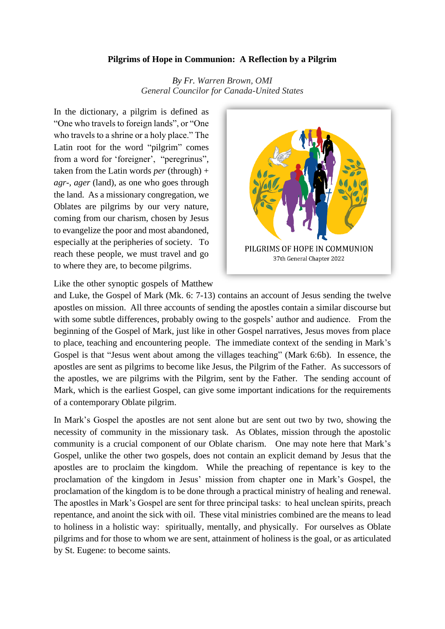## **Pilgrims of Hope in Communion: A Reflection by a Pilgrim**

*By Fr. Warren Brown, OMI General Councilor for Canada-United States*

In the dictionary, a pilgrim is defined as "One who travels to foreign lands", or "One who travels to a shrine or a holy place." The Latin root for the word "pilgrim" comes from a word for 'foreigner', "peregrinus", taken from the Latin words *per* (through) + *agr*-, *ager* (land), as one who goes through the land. As a missionary congregation, we Oblates are pilgrims by our very nature, coming from our charism, chosen by Jesus to evangelize the poor and most abandoned, especially at the peripheries of society. To reach these people, we must travel and go to where they are, to become pilgrims.



Like the other synoptic gospels of Matthew

and Luke, the Gospel of Mark (Mk. 6: 7-13) contains an account of Jesus sending the twelve apostles on mission. All three accounts of sending the apostles contain a similar discourse but with some subtle differences, probably owing to the gospels' author and audience. From the beginning of the Gospel of Mark, just like in other Gospel narratives, Jesus moves from place to place, teaching and encountering people. The immediate context of the sending in Mark's Gospel is that "Jesus went about among the villages teaching" (Mark 6:6b). In essence, the apostles are sent as pilgrims to become like Jesus, the Pilgrim of the Father. As successors of the apostles, we are pilgrims with the Pilgrim, sent by the Father. The sending account of Mark, which is the earliest Gospel, can give some important indications for the requirements of a contemporary Oblate pilgrim.

In Mark's Gospel the apostles are not sent alone but are sent out two by two, showing the necessity of community in the missionary task. As Oblates, mission through the apostolic community is a crucial component of our Oblate charism. One may note here that Mark's Gospel, unlike the other two gospels, does not contain an explicit demand by Jesus that the apostles are to proclaim the kingdom. While the preaching of repentance is key to the proclamation of the kingdom in Jesus' mission from chapter one in Mark's Gospel, the proclamation of the kingdom is to be done through a practical ministry of healing and renewal. The apostles in Mark's Gospel are sent for three principal tasks: to heal unclean spirits, preach repentance, and anoint the sick with oil. These vital ministries combined are the means to lead to holiness in a holistic way: spiritually, mentally, and physically. For ourselves as Oblate pilgrims and for those to whom we are sent, attainment of holiness is the goal, or as articulated by St. Eugene: to become saints.